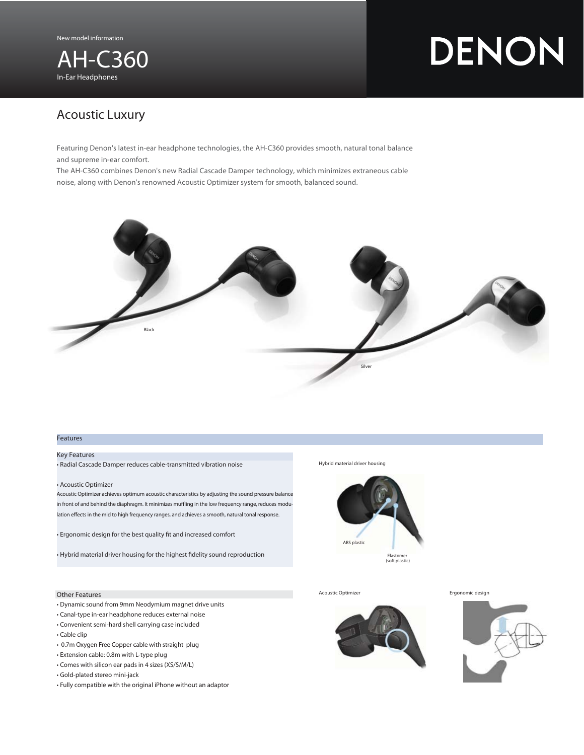

# DENON

## Acoustic Luxury

Featuring Denon's latest in-ear headphone technologies, the AH-C360 provides smooth, natural tonal balance and supreme in-ear comfort.

The AH-C360 combines Denon's new Radial Cascade Damper technology, which minimizes extraneous cable noise, along with Denon's renowned Acoustic Optimizer system for smooth, balanced sound.



#### Features

#### Key Features

• Radial Cascade Damper reduces cable-transmitted vibration noise

#### • Acoustic Optimizer

Acoustic Optimizer achieves optimum acoustic characteristics by adjusting the sound pressure balance in front of and behind the diaphragm. It minimizes muffling in the low frequency range, reduces modulation effects in the mid to high frequency ranges, and achieves a smooth, natural tonal response.

• Ergonomic design for the best quality fit and increased comfort

• Hybrid material driver housing for the highest fidelity sound reproduction

### Other Features

- Dynamic sound from 9mm Neodymium magnet drive units
- Canal-type in-ear headphone reduces external noise
- Convenient semi-hard shell carrying case included
- Cable clip
- 0.7m Oxygen Free Copper cable with straight plug
- Extension cable: 0.8m with L-type plug
- Comes with silicon ear pads in 4 sizes (XS/S/M/L)
- Gold-plated stereo mini-jack
- Fully compatible with the original iPhone without an adaptor

Hybrid material driver housing



Acoustic Optimizer **Example 2018** Ergonomic design